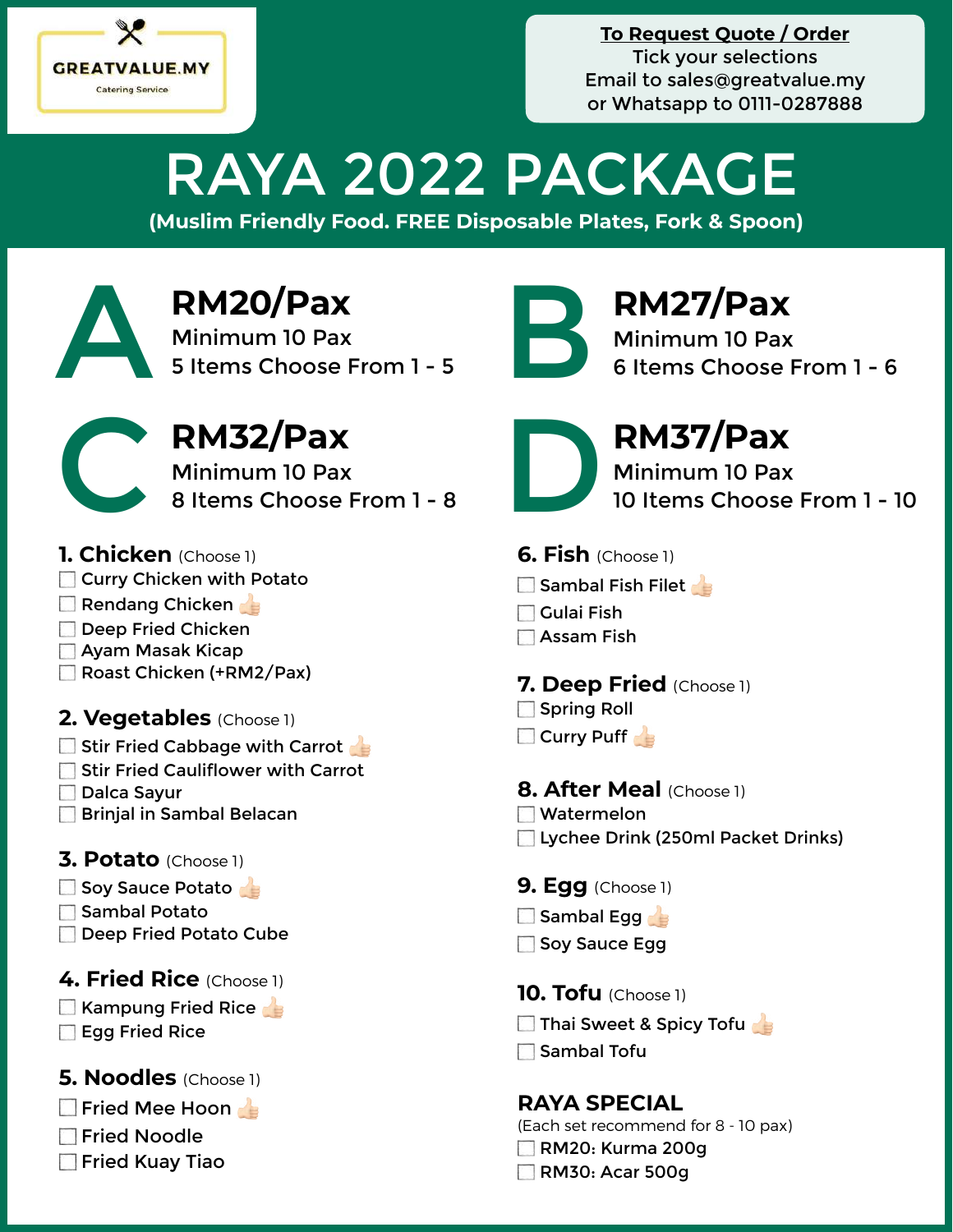

**To Request Quote / Order** Tick your selections Email to [sales@greatvalue.my](mailto:sales@greatvalue.my) or Whatsapp to 0111-0287888

# RAYA 2022 PACKAGE

**(Muslim Friendly Food. FREE Disposable Plates, Fork & Spoon)**

**RM20/Pax**<br>Minimum 10 Pax<br>5 Items Choose From 1 - 5 Minimum 10 Pax RM20/Pax<br>
Minimum 10 Pax<br>
5 Items Choose From 1 - 5<br> **Example 10 Pax**<br>
6 Items Choose From 1 - 5<br>
6 Items Choose



**RM32/Pax**<br>Minimum 10 Pax<br>8 Items Choose From 1 - 8 Minimum 10 Pax RM32/Pax<br>Minimum 10 Pax<br>8 Items Choose From 1 - 8 Deciment 10 Pax<br>10 Items Choose

### **1. Chicken** (Choose 1)

- **Curry Chicken with Potato**
- Rendang Chicken
- Deep Fried Chicken
- Ayam Masak Kicap
- Roast Chicken (+RM2/Pax)

# **2. Vegetables** (Choose 1)

- $\square$  Stir Fried Cabbage with Carrot
- Stir Fried Cauliflower with Carrot
- Dalca Sayur
- **Brinjal in Sambal Belacan**

# **3. Potato** (Choose 1)

- $\square$  Soy Sauce Potato
- Sambal Potato
- Deep Fried Potato Cube

# **4. Fried Rice** (Choose 1)

Kampung Fried Rice Egg Fried Rice

# **5. Noodles** (Choose 1)

- **Fried Mee Hoon**
- **Fried Noodle**
- **Fried Kuay Tiao**



Minimum 10 Pax 6 Items Choose From 1 - 6



Minimum 10 Pax 10 Items Choose From 1 - 10

- **6. Fish** (Choose 1)
- $\square$  Sambal Fish Filet
- $\Box$  Gulai Fish
- Assam Fish

# **7. Deep Fried** (Choose 1)

- Spring Roll
- Curry Puff

# **8. After Meal** (Choose 1)

- **Watermelon**
- Lychee Drink (250ml Packet Drinks)
- **9. Egg** (Choose 1)
- $\Box$  Sambal Egg
- Soy Sauce Egg
- **10. Tofu** (Choose 1)
- **Thai Sweet & Spicy Tofulds**
- $\Box$  Sambal Tofu

# **RAYA SPECIAL**

(Each set recommend for 8 - 10 pax) RM20: Kurma 200g

**RM30: Acar 500g**